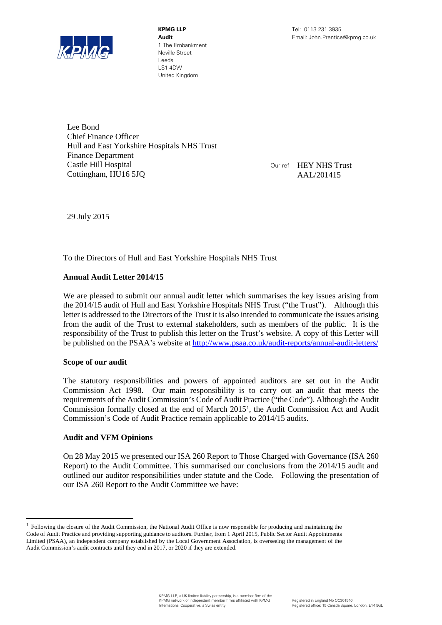

**KPMG LLP** Tel: 0113 231 3935 1 The Embankment Neville Street Leeds LS1 4DW United Kingdom

Lee Bond Chief Finance Officer Hull and East Yorkshire Hospitals NHS Trust Finance Department Castle Hill Hospital Cottingham, HU16 5JQ

Our ref HEY NHS Trust AAL/201415

29 July 2015

To the Directors of Hull and East Yorkshire Hospitals NHS Trust

# **Annual Audit Letter 2014/15**

We are pleased to submit our annual audit letter which summarises the key issues arising from the 2014/15 audit of Hull and East Yorkshire Hospitals NHS Trust ("the Trust"). Although this letter is addressed to the Directors of the Trust it is also intended to communicate the issues arising from the audit of the Trust to external stakeholders, such as members of the public. It is the responsibility of the Trust to publish this letter on the Trust's website. A copy of this Letter will be published on the PSAA's website at<http://www.psaa.co.uk/audit-reports/annual-audit-letters/>

# **Scope of our audit**

The statutory responsibilities and powers of appointed auditors are set out in the Audit Commission Act 1998. Our main responsibility is to carry out an audit that meets the requirements of the Audit Commission's Code of Audit Practice ("the Code"). Although the Audit Commission formally closed at the end of March 2015[1](#page-0-0) , the Audit Commission Act and Audit Commission's Code of Audit Practice remain applicable to 2014/15 audits.

# **Audit and VFM Opinions**

On 28 May 2015 we presented our ISA 260 Report to Those Charged with Governance (ISA 260 Report) to the Audit Committee. This summarised our conclusions from the 2014/15 audit and outlined our auditor responsibilities under statute and the Code. Following the presentation of our ISA 260 Report to the Audit Committee we have:

<span id="page-0-0"></span><sup>&</sup>lt;sup>1</sup> Following the closure of the Audit Commission, the National Audit Office is now responsible for producing and maintaining the Code of Audit Practice and providing supporting guidance to auditors. Further, from 1 April 2015, Public Sector Audit Appointments Limited (PSAA), an independent company established by the Local Government Association, is overseeing the management of the Audit Commission's audit contracts until they end in 2017, or 2020 if they are extended.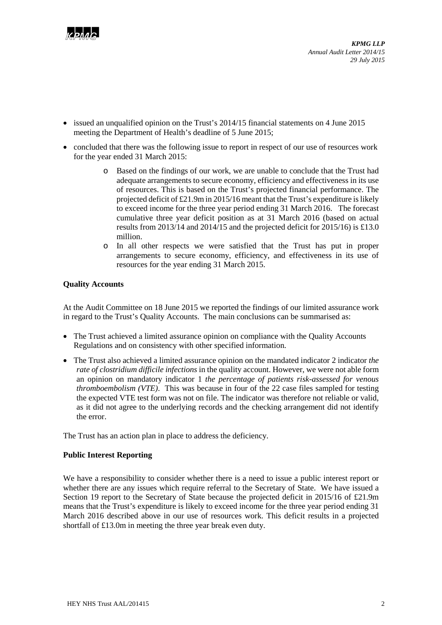

*KPMG LLP Annual Audit Letter 2014/15 29 July 2015*

- issued an unqualified opinion on the Trust's 2014/15 financial statements on 4 June 2015 meeting the Department of Health's deadline of 5 June 2015;
- concluded that there was the following issue to report in respect of our use of resources work for the year ended 31 March 2015:
	- o Based on the findings of our work, we are unable to conclude that the Trust had adequate arrangements to secure economy, efficiency and effectiveness in its use of resources. This is based on the Trust's projected financial performance. The projected deficit of £21.9m in 2015/16 meant that the Trust's expenditure is likely to exceed income for the three year period ending 31 March 2016. The forecast cumulative three year deficit position as at 31 March 2016 (based on actual results from 2013/14 and 2014/15 and the projected deficit for 2015/16) is £13.0 million.
	- o In all other respects we were satisfied that the Trust has put in proper arrangements to secure economy, efficiency, and effectiveness in its use of resources for the year ending 31 March 2015.

### **Quality Accounts**

At the Audit Committee on 18 June 2015 we reported the findings of our limited assurance work in regard to the Trust's Quality Accounts. The main conclusions can be summarised as:

- The Trust achieved a limited assurance opinion on compliance with the Quality Accounts Regulations and on consistency with other specified information.
- The Trust also achieved a limited assurance opinion on the mandated indicator 2 indicator *the rate of clostridium difficile infections* in the quality account. However, we were not able form an opinion on mandatory indicator 1 *the percentage of patients risk-assessed for venous thromboembolism (VTE)*. This was because in four of the 22 case files sampled for testing the expected VTE test form was not on file. The indicator was therefore not reliable or valid, as it did not agree to the underlying records and the checking arrangement did not identify the error.

The Trust has an action plan in place to address the deficiency.

### **Public Interest Reporting**

We have a responsibility to consider whether there is a need to issue a public interest report or whether there are any issues which require referral to the Secretary of State. We have issued a Section 19 report to the Secretary of State because the projected deficit in 2015/16 of £21.9m means that the Trust's expenditure is likely to exceed income for the three year period ending 31 March 2016 described above in our use of resources work. This deficit results in a projected shortfall of £13.0m in meeting the three year break even duty.